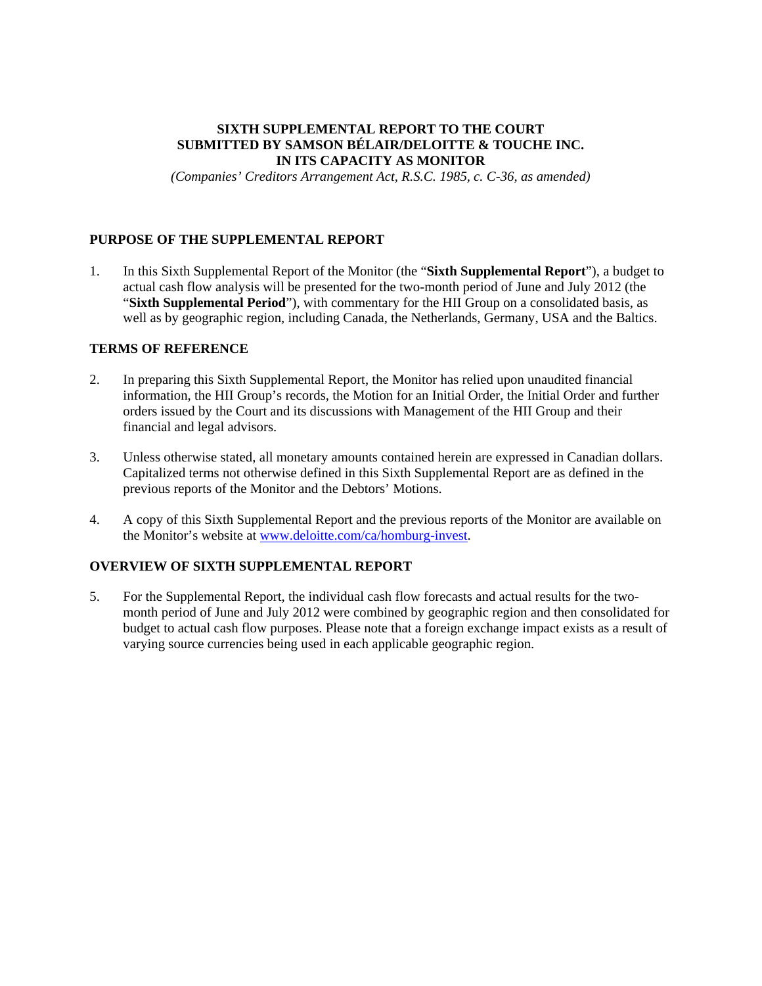# **SIXTH SUPPLEMENTAL REPORT TO THE COURT SUBMITTED BY SAMSON BÉLAIR/DELOITTE & TOUCHE INC. IN ITS CAPACITY AS MONITOR**

*(Companies' Creditors Arrangement Act, R.S.C. 1985, c. C-36, as amended)* 

# **PURPOSE OF THE SUPPLEMENTAL REPORT**

1. In this Sixth Supplemental Report of the Monitor (the "**Sixth Supplemental Report**"), a budget to actual cash flow analysis will be presented for the two-month period of June and July 2012 (the "**Sixth Supplemental Period**"), with commentary for the HII Group on a consolidated basis, as well as by geographic region, including Canada, the Netherlands, Germany, USA and the Baltics.

## **TERMS OF REFERENCE**

- 2. In preparing this Sixth Supplemental Report, the Monitor has relied upon unaudited financial information, the HII Group's records, the Motion for an Initial Order, the Initial Order and further orders issued by the Court and its discussions with Management of the HII Group and their financial and legal advisors.
- 3. Unless otherwise stated, all monetary amounts contained herein are expressed in Canadian dollars. Capitalized terms not otherwise defined in this Sixth Supplemental Report are as defined in the previous reports of the Monitor and the Debtors' Motions.
- 4. A copy of this Sixth Supplemental Report and the previous reports of the Monitor are available on the Monitor's website at www.deloitte.com/ca/homburg-invest.

# **OVERVIEW OF SIXTH SUPPLEMENTAL REPORT**

5. For the Supplemental Report, the individual cash flow forecasts and actual results for the twomonth period of June and July 2012 were combined by geographic region and then consolidated for budget to actual cash flow purposes. Please note that a foreign exchange impact exists as a result of varying source currencies being used in each applicable geographic region.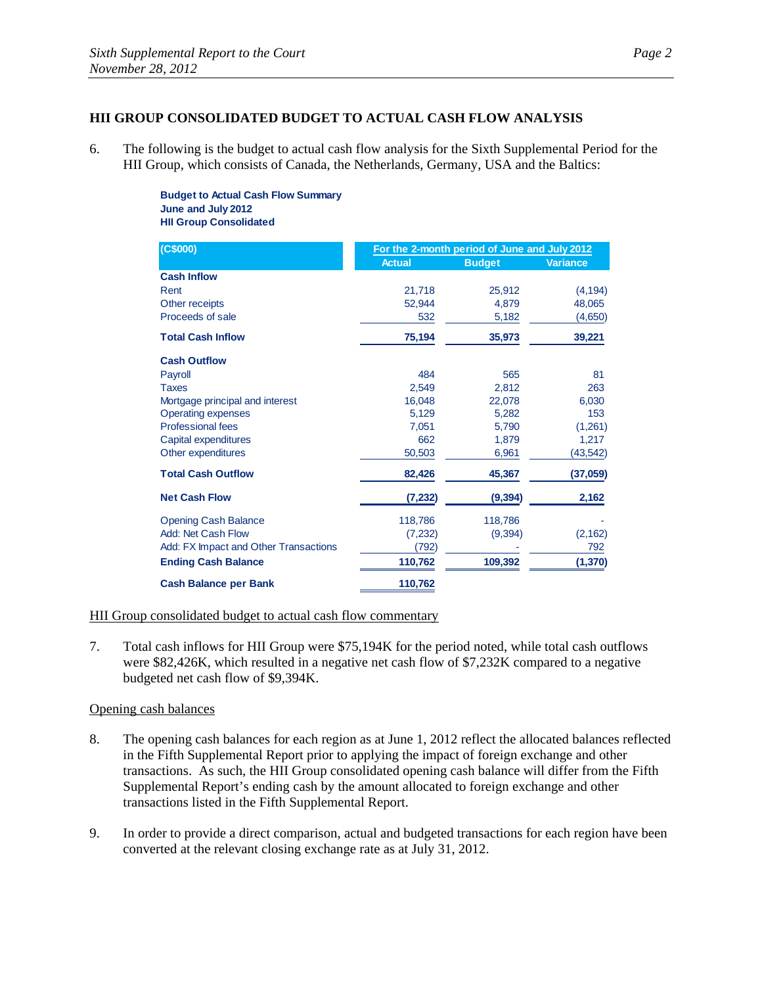# **HII GROUP CONSOLIDATED BUDGET TO ACTUAL CASH FLOW ANALYSIS**

6. The following is the budget to actual cash flow analysis for the Sixth Supplemental Period for the HII Group, which consists of Canada, the Netherlands, Germany, USA and the Baltics:

> **Budget to Actual Cash Flow Summary June and July 2012 HII Group Consolidated**

| (C\$000)                              | For the 2-month period of June and July 2012 |               |                 |
|---------------------------------------|----------------------------------------------|---------------|-----------------|
|                                       | <b>Actual</b>                                | <b>Budget</b> | <b>Variance</b> |
| <b>Cash Inflow</b>                    |                                              |               |                 |
| Rent                                  | 21,718                                       | 25,912        | (4, 194)        |
| Other receipts                        | 52,944                                       | 4,879         | 48,065          |
| Proceeds of sale                      | 532                                          | 5,182         | (4,650)         |
| <b>Total Cash Inflow</b>              | 75,194                                       | 35,973        | 39,221          |
| <b>Cash Outflow</b>                   |                                              |               |                 |
| Payroll                               | 484                                          | 565           | 81              |
| <b>Taxes</b>                          | 2,549                                        | 2,812         | 263             |
| Mortgage principal and interest       | 16.048                                       | 22,078        | 6,030           |
| <b>Operating expenses</b>             | 5,129                                        | 5,282         | 153             |
| <b>Professional fees</b>              | 7,051                                        | 5,790         | (1,261)         |
| Capital expenditures                  | 662                                          | 1,879         | 1,217           |
| Other expenditures                    | 50,503                                       | 6,961         | (43, 542)       |
| <b>Total Cash Outflow</b>             | 82,426                                       | 45,367        | (37,059)        |
| <b>Net Cash Flow</b>                  | (7, 232)                                     | (9, 394)      | 2,162           |
| <b>Opening Cash Balance</b>           | 118,786                                      | 118,786       |                 |
| Add: Net Cash Flow                    | (7,232)                                      | (9, 394)      | (2, 162)        |
| Add: FX Impact and Other Transactions | (792)                                        |               | 792             |
| <b>Ending Cash Balance</b>            | 110,762                                      | 109,392       | (1, 370)        |
| <b>Cash Balance per Bank</b>          | 110,762                                      |               |                 |

# HII Group consolidated budget to actual cash flow commentary

7. Total cash inflows for HII Group were \$75,194K for the period noted, while total cash outflows were \$82,426K, which resulted in a negative net cash flow of \$7,232K compared to a negative budgeted net cash flow of \$9,394K.

#### Opening cash balances

- 8. The opening cash balances for each region as at June 1, 2012 reflect the allocated balances reflected in the Fifth Supplemental Report prior to applying the impact of foreign exchange and other transactions. As such, the HII Group consolidated opening cash balance will differ from the Fifth Supplemental Report's ending cash by the amount allocated to foreign exchange and other transactions listed in the Fifth Supplemental Report.
- 9. In order to provide a direct comparison, actual and budgeted transactions for each region have been converted at the relevant closing exchange rate as at July 31, 2012.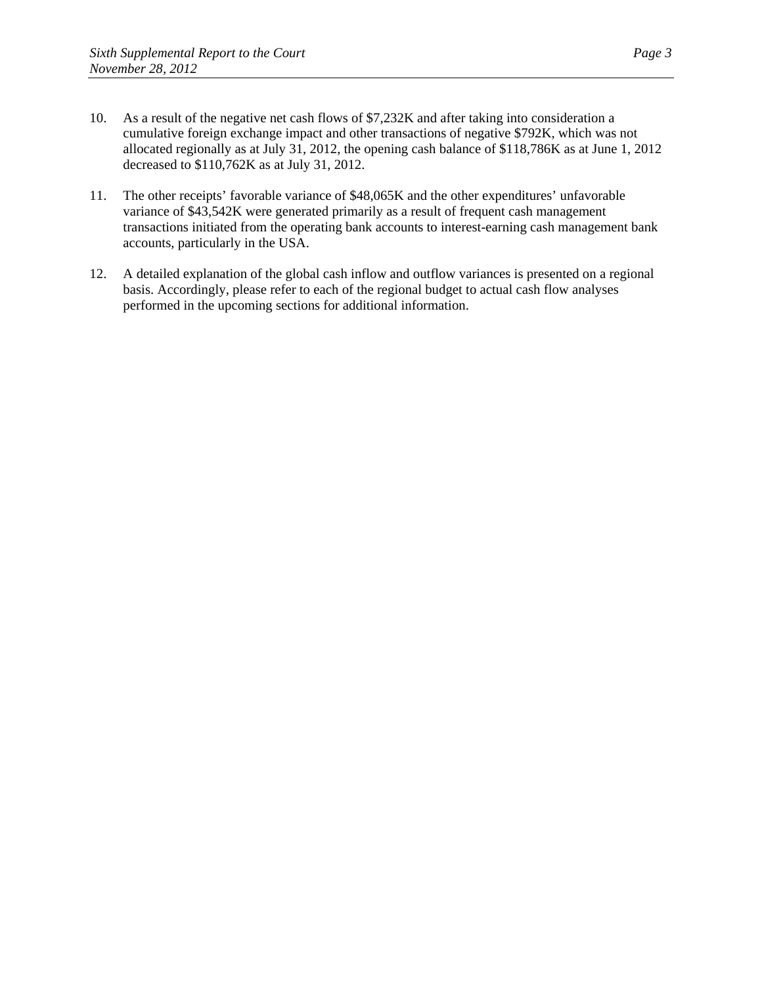- 10. As a result of the negative net cash flows of \$7,232K and after taking into consideration a cumulative foreign exchange impact and other transactions of negative \$792K, which was not allocated regionally as at July 31, 2012, the opening cash balance of \$118,786K as at June 1, 2012 decreased to \$110,762K as at July 31, 2012.
- 11. The other receipts' favorable variance of \$48,065K and the other expenditures' unfavorable variance of \$43,542K were generated primarily as a result of frequent cash management transactions initiated from the operating bank accounts to interest-earning cash management bank accounts, particularly in the USA.
- 12. A detailed explanation of the global cash inflow and outflow variances is presented on a regional basis. Accordingly, please refer to each of the regional budget to actual cash flow analyses performed in the upcoming sections for additional information.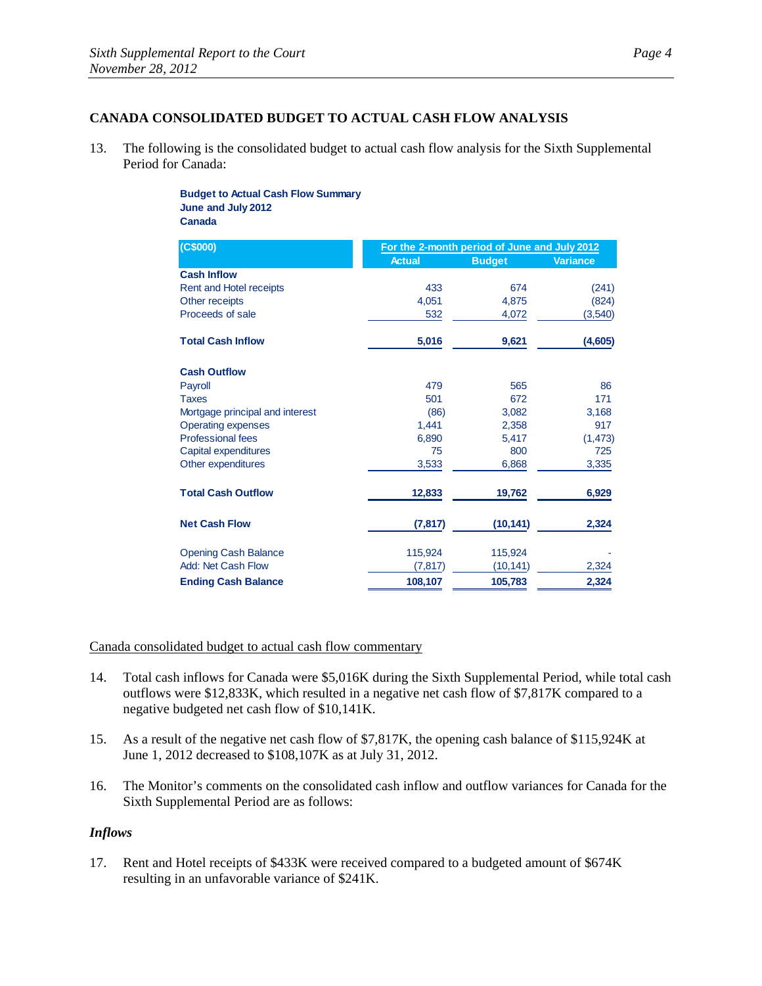# **CANADA CONSOLIDATED BUDGET TO ACTUAL CASH FLOW ANALYSIS**

13. The following is the consolidated budget to actual cash flow analysis for the Sixth Supplemental Period for Canada:

#### **Budget to Actual Cash Flow Summary June and July 2012 Canada**

| (C\$000)                        | For the 2-month period of June and July 2012 |               |                 |
|---------------------------------|----------------------------------------------|---------------|-----------------|
|                                 | <b>Actual</b>                                | <b>Budget</b> | <b>Variance</b> |
| <b>Cash Inflow</b>              |                                              |               |                 |
| Rent and Hotel receipts         | 433                                          | 674           | (241)           |
| Other receipts                  | 4,051                                        | 4,875         | (824)           |
| Proceeds of sale                | 532                                          | 4,072         | (3, 540)        |
| <b>Total Cash Inflow</b>        | 5,016                                        | 9,621         | (4,605)         |
| <b>Cash Outflow</b>             |                                              |               |                 |
| Payroll                         | 479                                          | 565           | 86              |
| <b>Taxes</b>                    | 501                                          | 672           | 171             |
| Mortgage principal and interest | (86)                                         | 3,082         | 3,168           |
| <b>Operating expenses</b>       | 1,441                                        | 2,358         | 917             |
| <b>Professional fees</b>        | 6,890                                        | 5,417         | (1, 473)        |
| Capital expenditures            | 75                                           | 800           | 725             |
| Other expenditures              | 3,533                                        | 6,868         | 3,335           |
| <b>Total Cash Outflow</b>       | 12,833                                       | 19,762        | 6,929           |
| <b>Net Cash Flow</b>            | (7, 817)                                     | (10, 141)     | 2,324           |
| <b>Opening Cash Balance</b>     | 115,924                                      | 115,924       |                 |
| <b>Add: Net Cash Flow</b>       | (7, 817)                                     | (10, 141)     | 2,324           |
| <b>Ending Cash Balance</b>      | 108,107                                      | 105,783       | 2,324           |

# Canada consolidated budget to actual cash flow commentary

- 14. Total cash inflows for Canada were \$5,016K during the Sixth Supplemental Period, while total cash outflows were \$12,833K, which resulted in a negative net cash flow of \$7,817K compared to a negative budgeted net cash flow of \$10,141K.
- 15. As a result of the negative net cash flow of \$7,817K, the opening cash balance of \$115,924K at June 1, 2012 decreased to \$108,107K as at July 31, 2012.
- 16. The Monitor's comments on the consolidated cash inflow and outflow variances for Canada for the Sixth Supplemental Period are as follows:

#### *Inflows*

17. Rent and Hotel receipts of \$433K were received compared to a budgeted amount of \$674K resulting in an unfavorable variance of \$241K.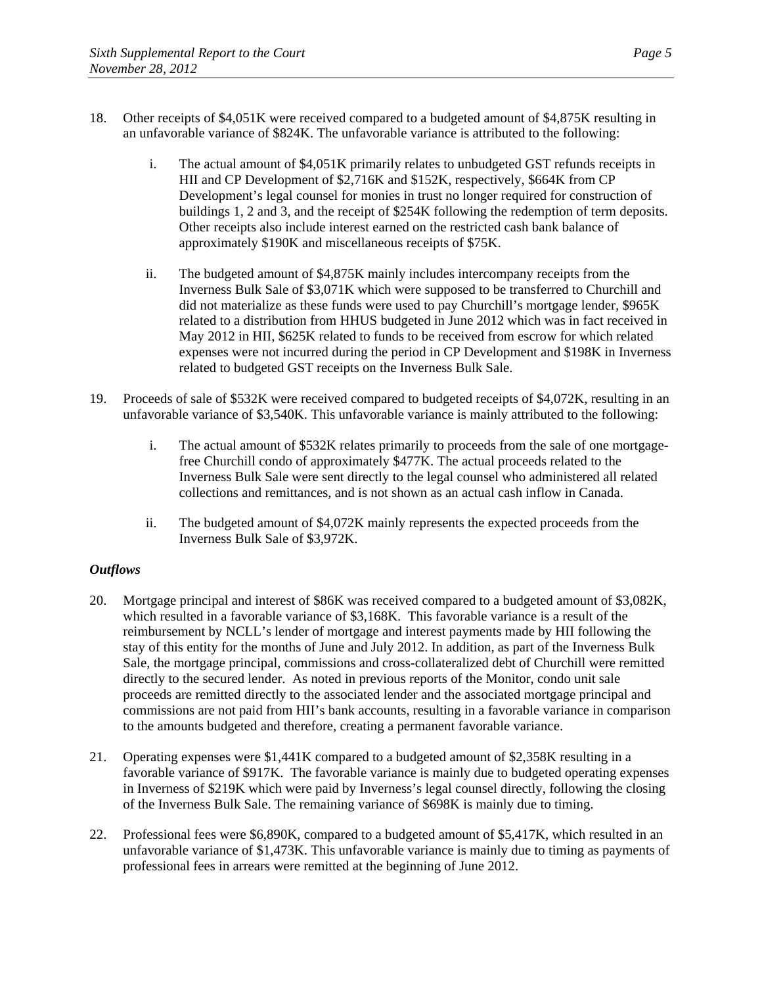- 18. Other receipts of \$4,051K were received compared to a budgeted amount of \$4,875K resulting in an unfavorable variance of \$824K. The unfavorable variance is attributed to the following:
	- i. The actual amount of \$4,051K primarily relates to unbudgeted GST refunds receipts in HII and CP Development of \$2,716K and \$152K, respectively, \$664K from CP Development's legal counsel for monies in trust no longer required for construction of buildings 1, 2 and 3, and the receipt of \$254K following the redemption of term deposits. Other receipts also include interest earned on the restricted cash bank balance of approximately \$190K and miscellaneous receipts of \$75K.
	- ii. The budgeted amount of \$4,875K mainly includes intercompany receipts from the Inverness Bulk Sale of \$3,071K which were supposed to be transferred to Churchill and did not materialize as these funds were used to pay Churchill's mortgage lender, \$965K related to a distribution from HHUS budgeted in June 2012 which was in fact received in May 2012 in HII, \$625K related to funds to be received from escrow for which related expenses were not incurred during the period in CP Development and \$198K in Inverness related to budgeted GST receipts on the Inverness Bulk Sale.
- 19. Proceeds of sale of \$532K were received compared to budgeted receipts of \$4,072K, resulting in an unfavorable variance of \$3,540K. This unfavorable variance is mainly attributed to the following:
	- i. The actual amount of \$532K relates primarily to proceeds from the sale of one mortgagefree Churchill condo of approximately \$477K. The actual proceeds related to the Inverness Bulk Sale were sent directly to the legal counsel who administered all related collections and remittances, and is not shown as an actual cash inflow in Canada.
	- ii. The budgeted amount of \$4,072K mainly represents the expected proceeds from the Inverness Bulk Sale of \$3,972K.

- 20. Mortgage principal and interest of \$86K was received compared to a budgeted amount of \$3,082K, which resulted in a favorable variance of \$3,168K. This favorable variance is a result of the reimbursement by NCLL's lender of mortgage and interest payments made by HII following the stay of this entity for the months of June and July 2012. In addition, as part of the Inverness Bulk Sale, the mortgage principal, commissions and cross-collateralized debt of Churchill were remitted directly to the secured lender. As noted in previous reports of the Monitor, condo unit sale proceeds are remitted directly to the associated lender and the associated mortgage principal and commissions are not paid from HII's bank accounts, resulting in a favorable variance in comparison to the amounts budgeted and therefore, creating a permanent favorable variance.
- 21. Operating expenses were \$1,441K compared to a budgeted amount of \$2,358K resulting in a favorable variance of \$917K. The favorable variance is mainly due to budgeted operating expenses in Inverness of \$219K which were paid by Inverness's legal counsel directly, following the closing of the Inverness Bulk Sale. The remaining variance of \$698K is mainly due to timing.
- 22. Professional fees were \$6,890K, compared to a budgeted amount of \$5,417K, which resulted in an unfavorable variance of \$1,473K. This unfavorable variance is mainly due to timing as payments of professional fees in arrears were remitted at the beginning of June 2012.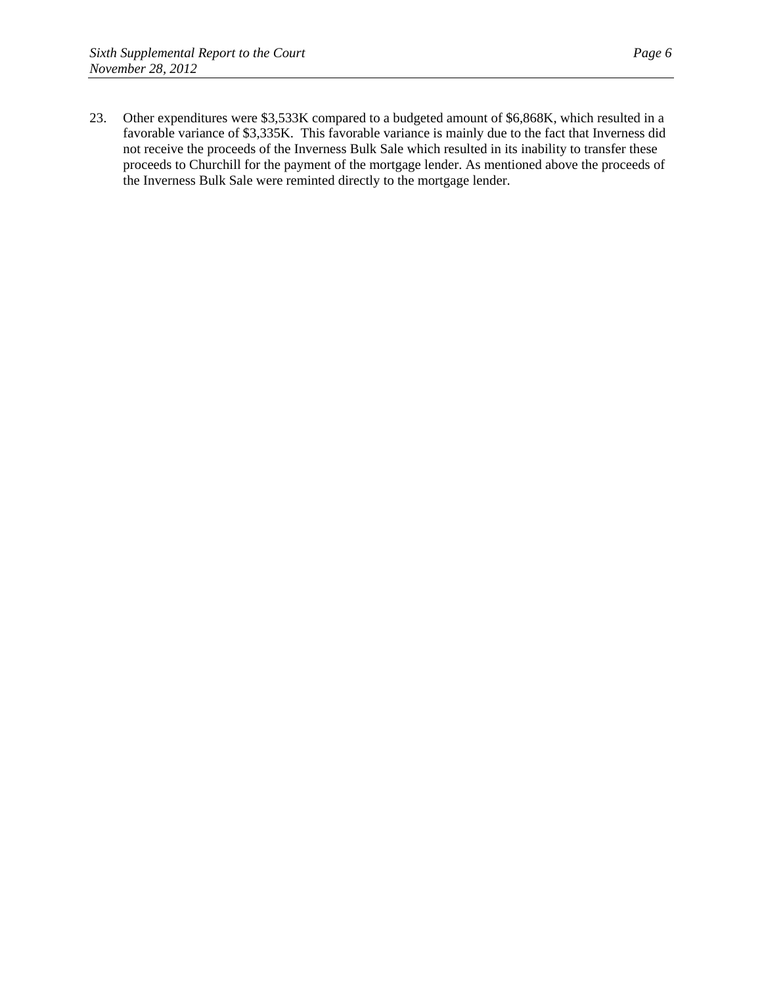23. Other expenditures were \$3,533K compared to a budgeted amount of \$6,868K, which resulted in a favorable variance of \$3,335K. This favorable variance is mainly due to the fact that Inverness did not receive the proceeds of the Inverness Bulk Sale which resulted in its inability to transfer these proceeds to Churchill for the payment of the mortgage lender. As mentioned above the proceeds of the Inverness Bulk Sale were reminted directly to the mortgage lender.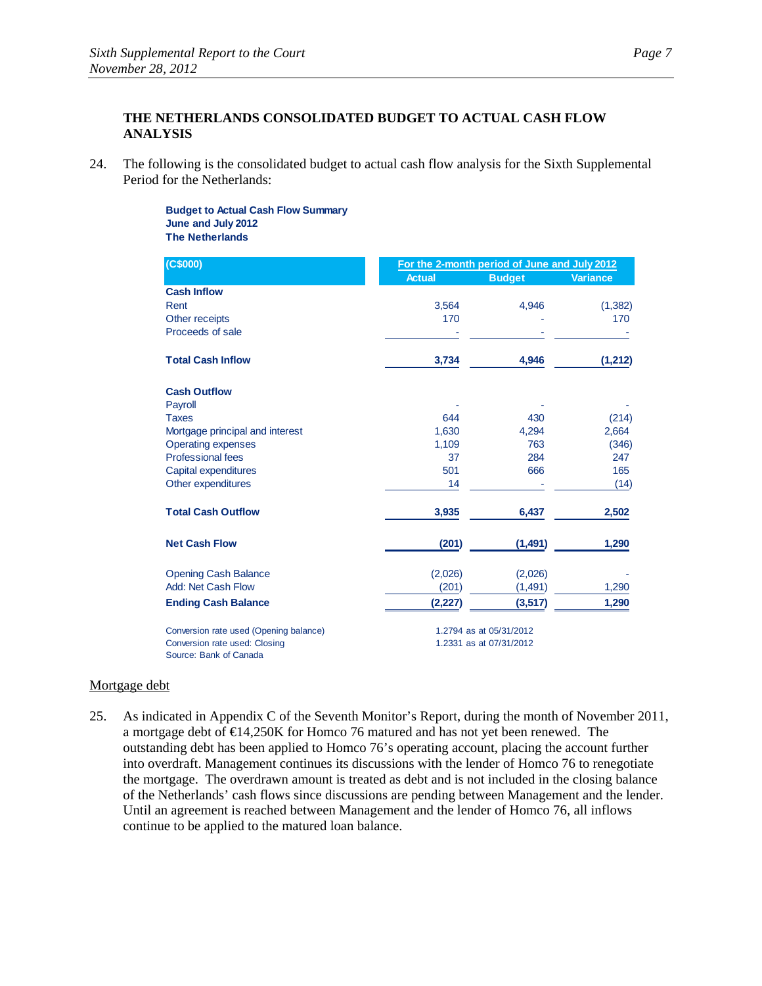# **THE NETHERLANDS CONSOLIDATED BUDGET TO ACTUAL CASH FLOW ANALYSIS**

24. The following is the consolidated budget to actual cash flow analysis for the Sixth Supplemental Period for the Netherlands:

> **Budget to Actual Cash Flow Summary June and July 2012 The Netherlands**

| (C\$000)                                                | For the 2-month period of June and July 2012 |                         |                 |  |
|---------------------------------------------------------|----------------------------------------------|-------------------------|-----------------|--|
|                                                         | <b>Actual</b>                                | <b>Budget</b>           | <b>Variance</b> |  |
| <b>Cash Inflow</b>                                      |                                              |                         |                 |  |
| Rent                                                    | 3,564                                        | 4,946                   | (1, 382)        |  |
| Other receipts                                          | 170                                          |                         | 170             |  |
| Proceeds of sale                                        |                                              |                         |                 |  |
| <b>Total Cash Inflow</b>                                | 3,734                                        | 4,946                   | (1, 212)        |  |
| <b>Cash Outflow</b>                                     |                                              |                         |                 |  |
| Payroll                                                 |                                              |                         |                 |  |
| <b>Taxes</b>                                            | 644                                          | 430                     | (214)           |  |
| Mortgage principal and interest                         | 1,630                                        | 4,294                   | 2,664           |  |
| <b>Operating expenses</b>                               | 1,109                                        | 763                     | (346)           |  |
| Professional fees                                       | 37                                           | 284                     | 247             |  |
| Capital expenditures                                    | 501                                          | 666                     | 165             |  |
| Other expenditures                                      | 14                                           |                         | (14)            |  |
| <b>Total Cash Outflow</b>                               | 3,935                                        | 6,437                   | 2,502           |  |
| <b>Net Cash Flow</b>                                    | (201)                                        | (1, 491)                | 1,290           |  |
| <b>Opening Cash Balance</b>                             | (2,026)                                      | (2,026)                 |                 |  |
| Add: Net Cash Flow                                      | (201)                                        | (1, 491)                | 1,290           |  |
| <b>Ending Cash Balance</b>                              | (2,227)                                      | (3, 517)                | 1,290           |  |
| Conversion rate used (Opening balance)                  |                                              | 1.2794 as at 05/31/2012 |                 |  |
| Conversion rate used: Closing<br>Source: Bank of Canada |                                              | 1.2331 as at 07/31/2012 |                 |  |

#### Mortgage debt

25. As indicated in Appendix C of the Seventh Monitor's Report, during the month of November 2011, a mortgage debt of  $\bigoplus$ 4,250K for Homco 76 matured and has not yet been renewed. The outstanding debt has been applied to Homco 76's operating account, placing the account further into overdraft. Management continues its discussions with the lender of Homco 76 to renegotiate the mortgage. The overdrawn amount is treated as debt and is not included in the closing balance of the Netherlands' cash flows since discussions are pending between Management and the lender. Until an agreement is reached between Management and the lender of Homco 76, all inflows continue to be applied to the matured loan balance.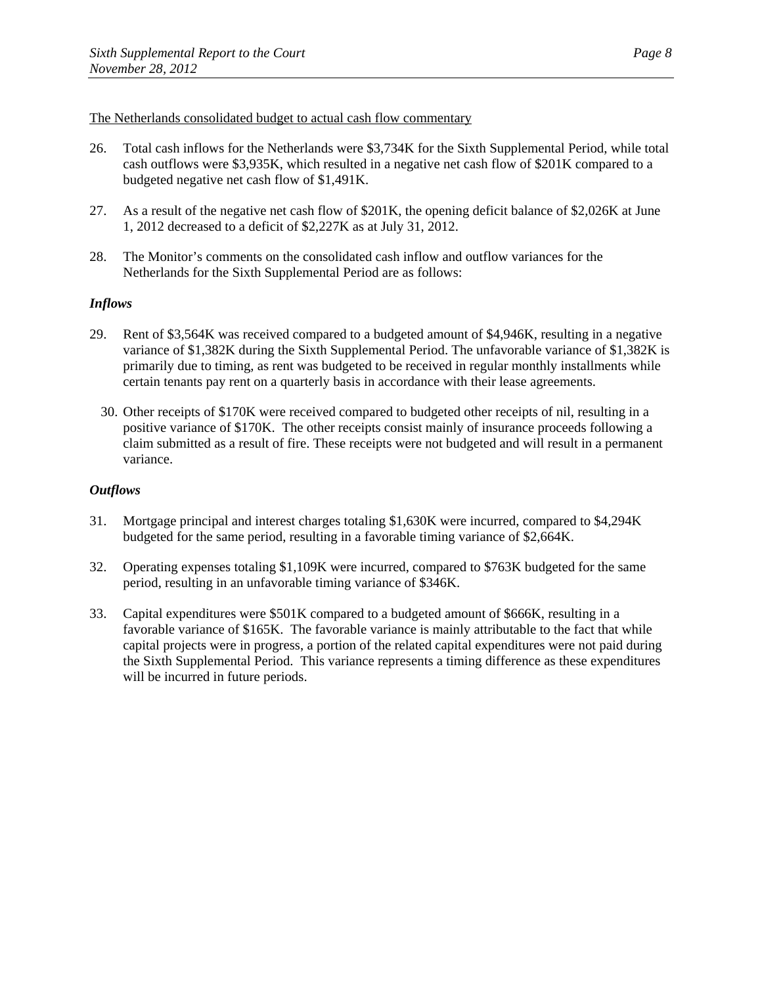### The Netherlands consolidated budget to actual cash flow commentary

- 26. Total cash inflows for the Netherlands were \$3,734K for the Sixth Supplemental Period, while total cash outflows were \$3,935K, which resulted in a negative net cash flow of \$201K compared to a budgeted negative net cash flow of \$1,491K.
- 27. As a result of the negative net cash flow of \$201K, the opening deficit balance of \$2,026K at June 1, 2012 decreased to a deficit of \$2,227K as at July 31, 2012.
- 28. The Monitor's comments on the consolidated cash inflow and outflow variances for the Netherlands for the Sixth Supplemental Period are as follows:

### *Inflows*

- 29. Rent of \$3,564K was received compared to a budgeted amount of \$4,946K, resulting in a negative variance of \$1,382K during the Sixth Supplemental Period. The unfavorable variance of \$1,382K is primarily due to timing, as rent was budgeted to be received in regular monthly installments while certain tenants pay rent on a quarterly basis in accordance with their lease agreements.
	- 30. Other receipts of \$170K were received compared to budgeted other receipts of nil, resulting in a positive variance of \$170K. The other receipts consist mainly of insurance proceeds following a claim submitted as a result of fire. These receipts were not budgeted and will result in a permanent variance.

- 31. Mortgage principal and interest charges totaling \$1,630K were incurred, compared to \$4,294K budgeted for the same period, resulting in a favorable timing variance of \$2,664K.
- 32. Operating expenses totaling \$1,109K were incurred, compared to \$763K budgeted for the same period, resulting in an unfavorable timing variance of \$346K.
- 33. Capital expenditures were \$501K compared to a budgeted amount of \$666K, resulting in a favorable variance of \$165K. The favorable variance is mainly attributable to the fact that while capital projects were in progress, a portion of the related capital expenditures were not paid during the Sixth Supplemental Period. This variance represents a timing difference as these expenditures will be incurred in future periods.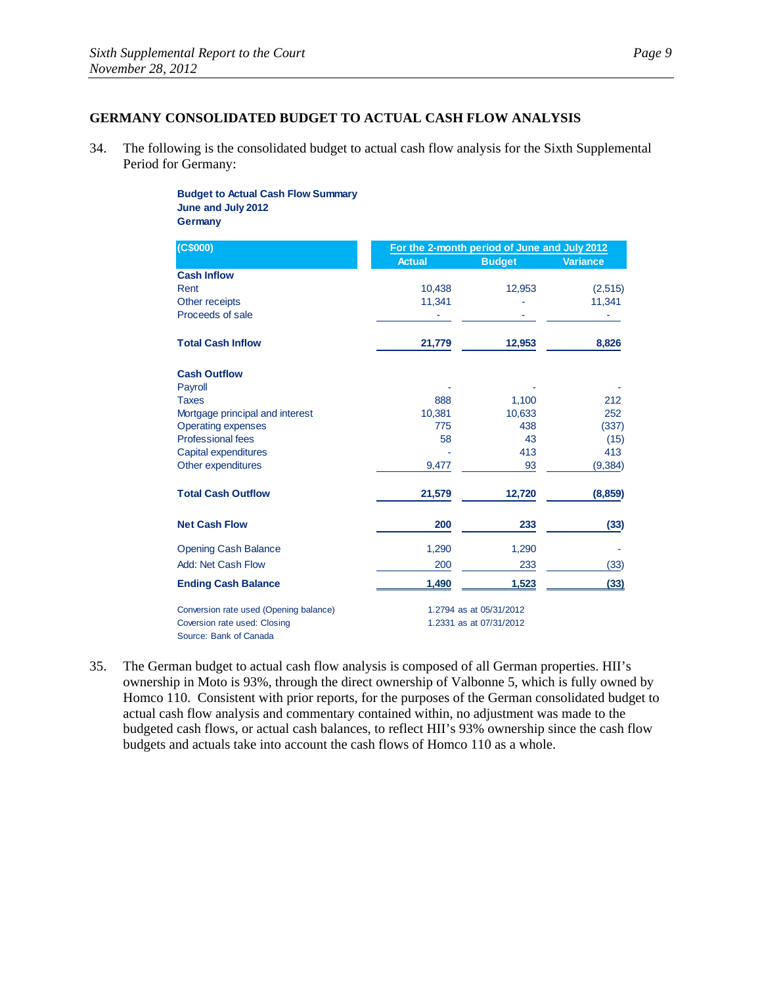# **GERMANY CONSOLIDATED BUDGET TO ACTUAL CASH FLOW ANALYSIS**

34. The following is the consolidated budget to actual cash flow analysis for the Sixth Supplemental Period for Germany:

> **Budget to Actual Cash Flow Summary June and July 2012 Germany**

| (C\$000)                               | For the 2-month period of June and July 2012 |                         |                 |
|----------------------------------------|----------------------------------------------|-------------------------|-----------------|
|                                        | <b>Actual</b>                                | <b>Budget</b>           | <b>Variance</b> |
| <b>Cash Inflow</b>                     |                                              |                         |                 |
| Rent                                   | 10,438                                       | 12,953                  | (2,515)         |
| Other receipts                         | 11,341                                       |                         | 11,341          |
| Proceeds of sale                       |                                              |                         |                 |
| <b>Total Cash Inflow</b>               | 21,779                                       | 12,953                  | 8,826           |
| <b>Cash Outflow</b>                    |                                              |                         |                 |
| Payroll                                |                                              |                         |                 |
| <b>Taxes</b>                           | 888                                          | 1,100                   | 212             |
| Mortgage principal and interest        | 10.381                                       | 10,633                  | 252             |
| <b>Operating expenses</b>              | 775                                          | 438                     | (337)           |
| <b>Professional fees</b>               | 58                                           | 43                      | (15)            |
| Capital expenditures                   |                                              | 413                     | 413             |
| Other expenditures                     | 9,477                                        | 93                      | (9, 384)        |
| <b>Total Cash Outflow</b>              | 21,579                                       | 12,720                  | (8, 859)        |
| <b>Net Cash Flow</b>                   | 200                                          | 233                     | (33)            |
| <b>Opening Cash Balance</b>            | 1,290                                        | 1,290                   |                 |
| Add: Net Cash Flow                     | 200                                          | 233                     | (33)            |
| <b>Ending Cash Balance</b>             | 1,490                                        | 1,523                   | (33)            |
| Conversion rate used (Opening balance) | 1.2794 as at 05/31/2012                      |                         |                 |
| Coversion rate used: Closing           |                                              | 1.2331 as at 07/31/2012 |                 |
| Source: Bank of Canada                 |                                              |                         |                 |

35. The German budget to actual cash flow analysis is composed of all German properties. HII's ownership in Moto is 93%, through the direct ownership of Valbonne 5, which is fully owned by Homco 110. Consistent with prior reports, for the purposes of the German consolidated budget to actual cash flow analysis and commentary contained within, no adjustment was made to the budgeted cash flows, or actual cash balances, to reflect HII's 93% ownership since the cash flow budgets and actuals take into account the cash flows of Homco 110 as a whole.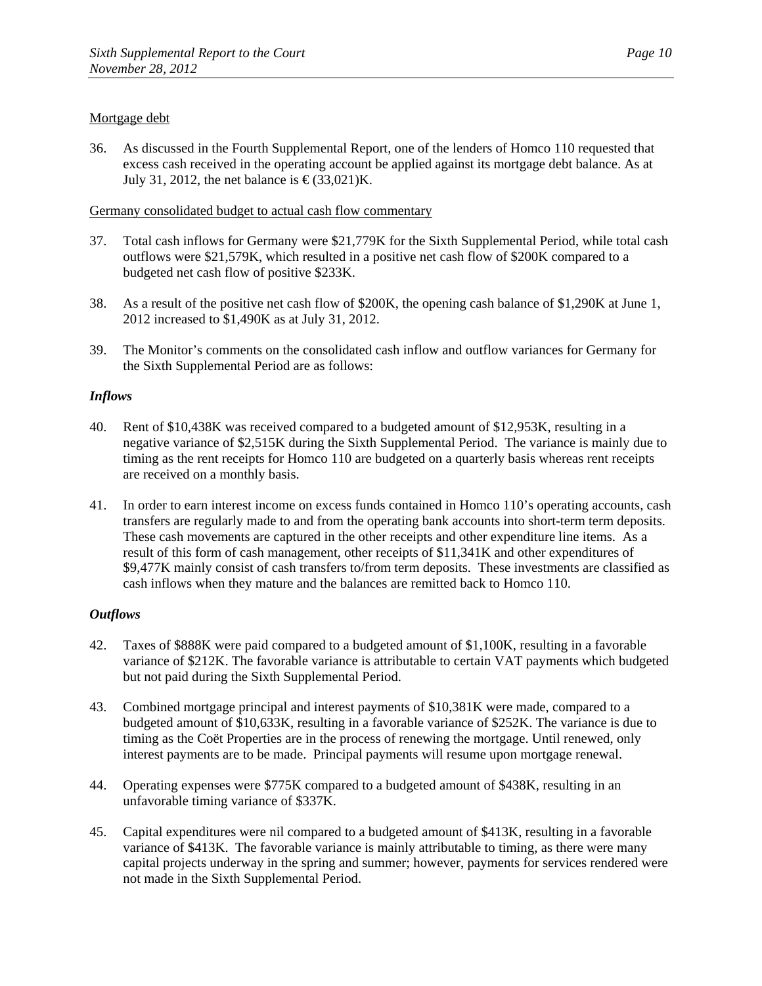# Mortgage debt

36. As discussed in the Fourth Supplemental Report, one of the lenders of Homco 110 requested that excess cash received in the operating account be applied against its mortgage debt balance. As at July 31, 2012, the net balance is  $\epsilon$ (33,021)K.

### Germany consolidated budget to actual cash flow commentary

- 37. Total cash inflows for Germany were \$21,779K for the Sixth Supplemental Period, while total cash outflows were \$21,579K, which resulted in a positive net cash flow of \$200K compared to a budgeted net cash flow of positive \$233K.
- 38. As a result of the positive net cash flow of \$200K, the opening cash balance of \$1,290K at June 1, 2012 increased to \$1,490K as at July 31, 2012.
- 39. The Monitor's comments on the consolidated cash inflow and outflow variances for Germany for the Sixth Supplemental Period are as follows:

### *Inflows*

- 40. Rent of \$10,438K was received compared to a budgeted amount of \$12,953K, resulting in a negative variance of \$2,515K during the Sixth Supplemental Period. The variance is mainly due to timing as the rent receipts for Homco 110 are budgeted on a quarterly basis whereas rent receipts are received on a monthly basis.
- 41. In order to earn interest income on excess funds contained in Homco 110's operating accounts, cash transfers are regularly made to and from the operating bank accounts into short-term term deposits. These cash movements are captured in the other receipts and other expenditure line items. As a result of this form of cash management, other receipts of \$11,341K and other expenditures of \$9,477K mainly consist of cash transfers to/from term deposits. These investments are classified as cash inflows when they mature and the balances are remitted back to Homco 110.

- 42. Taxes of \$888K were paid compared to a budgeted amount of \$1,100K, resulting in a favorable variance of \$212K. The favorable variance is attributable to certain VAT payments which budgeted but not paid during the Sixth Supplemental Period.
- 43. Combined mortgage principal and interest payments of \$10,381K were made, compared to a budgeted amount of \$10,633K, resulting in a favorable variance of \$252K. The variance is due to timing as the Coët Properties are in the process of renewing the mortgage. Until renewed, only interest payments are to be made. Principal payments will resume upon mortgage renewal.
- 44. Operating expenses were \$775K compared to a budgeted amount of \$438K, resulting in an unfavorable timing variance of \$337K.
- 45. Capital expenditures were nil compared to a budgeted amount of \$413K, resulting in a favorable variance of \$413K. The favorable variance is mainly attributable to timing, as there were many capital projects underway in the spring and summer; however, payments for services rendered were not made in the Sixth Supplemental Period.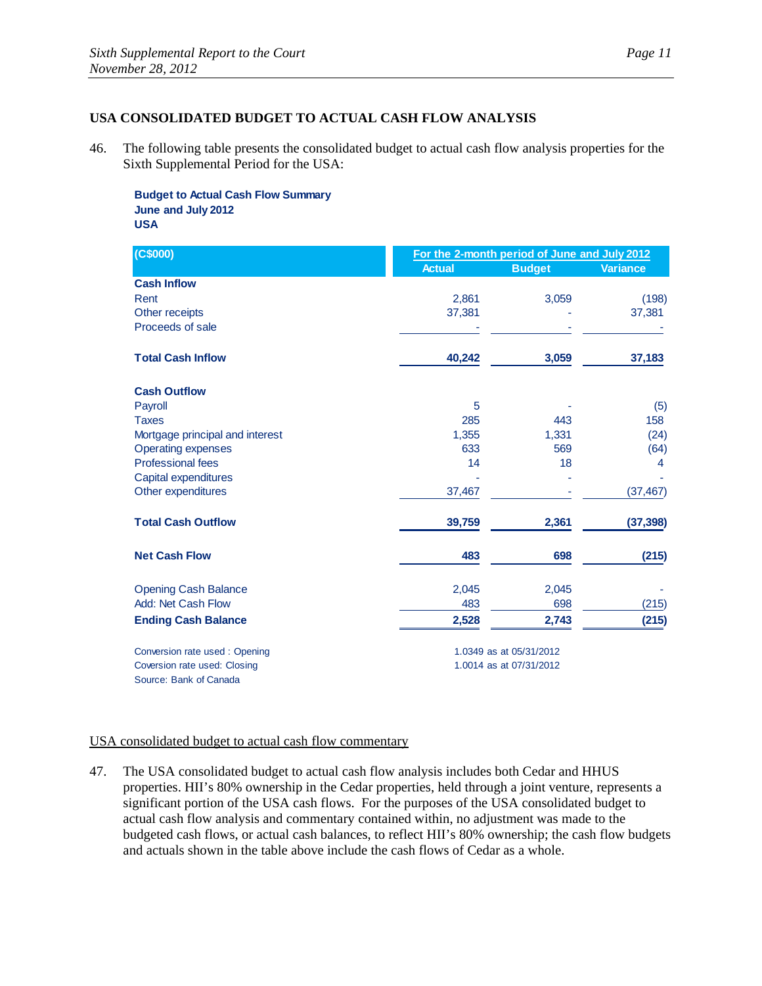# **USA CONSOLIDATED BUDGET TO ACTUAL CASH FLOW ANALYSIS**

46. The following table presents the consolidated budget to actual cash flow analysis properties for the Sixth Supplemental Period for the USA:

**Budget to Actual Cash Flow Summary June and July 2012 USA**

| (C\$000)                        | For the 2-month period of June and July 2012 |                         |                 |
|---------------------------------|----------------------------------------------|-------------------------|-----------------|
|                                 | <b>Actual</b>                                | <b>Budget</b>           | <b>Variance</b> |
| <b>Cash Inflow</b>              |                                              |                         |                 |
| Rent                            | 2,861                                        | 3,059                   | (198)           |
| Other receipts                  | 37.381                                       |                         | 37,381          |
| Proceeds of sale                |                                              |                         |                 |
| <b>Total Cash Inflow</b>        | 40,242                                       | 3,059                   | 37,183          |
| <b>Cash Outflow</b>             |                                              |                         |                 |
| Payroll                         | 5                                            |                         | (5)             |
| <b>Taxes</b>                    | 285                                          | 443                     | 158             |
| Mortgage principal and interest | 1,355                                        | 1,331                   | (24)            |
| <b>Operating expenses</b>       | 633                                          | 569                     | (64)            |
| <b>Professional fees</b>        | 14                                           | 18                      | 4               |
| Capital expenditures            |                                              |                         |                 |
| Other expenditures              | 37,467                                       |                         | (37, 467)       |
| <b>Total Cash Outflow</b>       | 39,759                                       | 2,361                   | (37, 398)       |
| <b>Net Cash Flow</b>            | 483                                          | 698                     | (215)           |
| <b>Opening Cash Balance</b>     | 2,045                                        | 2,045                   |                 |
| Add: Net Cash Flow              | 483                                          | 698                     | (215)           |
| <b>Ending Cash Balance</b>      | 2,528                                        | 2,743                   | (215)           |
| Conversion rate used: Opening   |                                              | 1.0349 as at 05/31/2012 |                 |
| Coversion rate used: Closing    |                                              | 1.0014 as at 07/31/2012 |                 |
| Source: Bank of Canada          |                                              |                         |                 |

### USA consolidated budget to actual cash flow commentary

47. The USA consolidated budget to actual cash flow analysis includes both Cedar and HHUS properties. HII's 80% ownership in the Cedar properties, held through a joint venture, represents a significant portion of the USA cash flows. For the purposes of the USA consolidated budget to actual cash flow analysis and commentary contained within, no adjustment was made to the budgeted cash flows, or actual cash balances, to reflect HII's 80% ownership; the cash flow budgets and actuals shown in the table above include the cash flows of Cedar as a whole.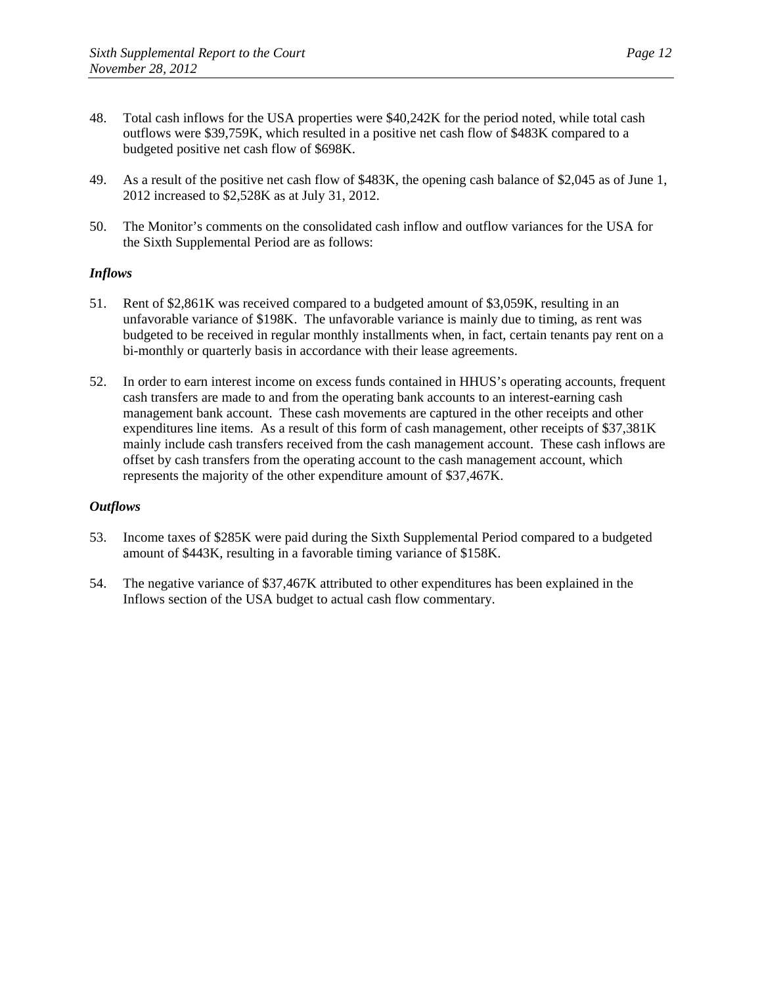- 48. Total cash inflows for the USA properties were \$40,242K for the period noted, while total cash outflows were \$39,759K, which resulted in a positive net cash flow of \$483K compared to a budgeted positive net cash flow of \$698K.
- 49. As a result of the positive net cash flow of \$483K, the opening cash balance of \$2,045 as of June 1, 2012 increased to \$2,528K as at July 31, 2012.
- 50. The Monitor's comments on the consolidated cash inflow and outflow variances for the USA for the Sixth Supplemental Period are as follows:

# *Inflows*

- 51. Rent of \$2,861K was received compared to a budgeted amount of \$3,059K, resulting in an unfavorable variance of \$198K. The unfavorable variance is mainly due to timing, as rent was budgeted to be received in regular monthly installments when, in fact, certain tenants pay rent on a bi-monthly or quarterly basis in accordance with their lease agreements.
- 52. In order to earn interest income on excess funds contained in HHUS's operating accounts, frequent cash transfers are made to and from the operating bank accounts to an interest-earning cash management bank account. These cash movements are captured in the other receipts and other expenditures line items. As a result of this form of cash management, other receipts of \$37,381K mainly include cash transfers received from the cash management account. These cash inflows are offset by cash transfers from the operating account to the cash management account, which represents the majority of the other expenditure amount of \$37,467K.

- 53. Income taxes of \$285K were paid during the Sixth Supplemental Period compared to a budgeted amount of \$443K, resulting in a favorable timing variance of \$158K.
- 54. The negative variance of \$37,467K attributed to other expenditures has been explained in the Inflows section of the USA budget to actual cash flow commentary.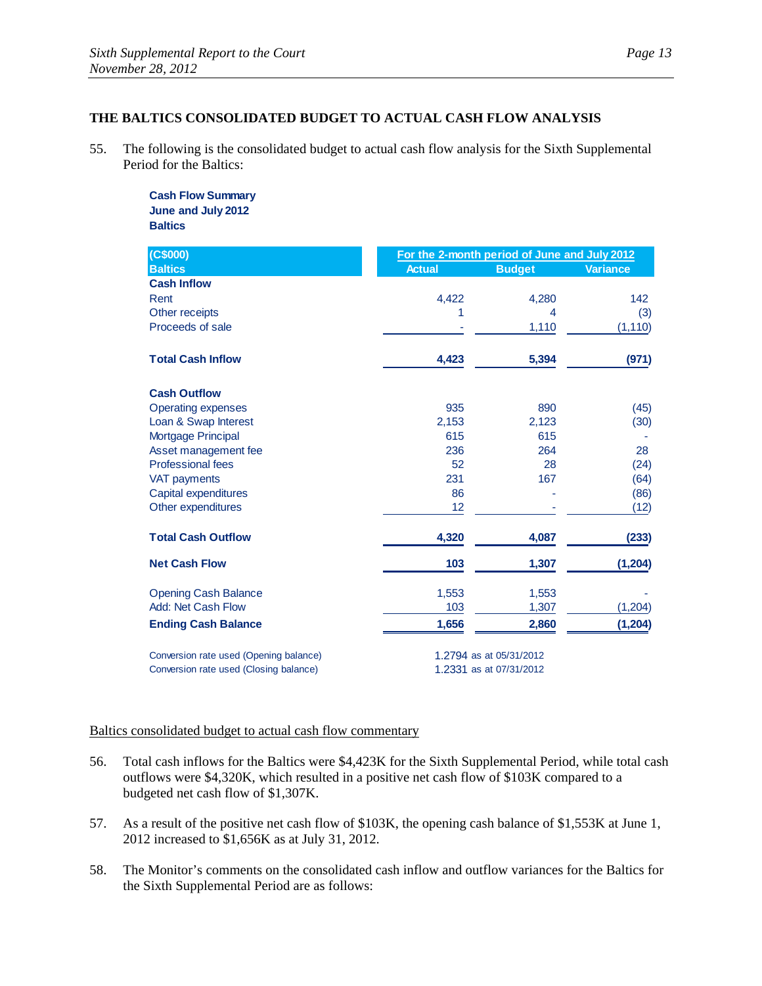# **THE BALTICS CONSOLIDATED BUDGET TO ACTUAL CASH FLOW ANALYSIS**

55. The following is the consolidated budget to actual cash flow analysis for the Sixth Supplemental Period for the Baltics:

> **Cash Flow Summary June and July 2012 Baltics**

| (C\$000)                               | For the 2-month period of June and July 2012 |               |                 |
|----------------------------------------|----------------------------------------------|---------------|-----------------|
| <b>Baltics</b>                         | <b>Actual</b>                                | <b>Budget</b> | <b>Variance</b> |
| <b>Cash Inflow</b>                     |                                              |               |                 |
| Rent                                   | 4,422                                        | 4,280         | 142             |
| Other receipts                         | 1                                            | 4             | (3)             |
| Proceeds of sale                       |                                              | 1,110         | (1, 110)        |
| <b>Total Cash Inflow</b>               | 4,423                                        | 5,394         | (971)           |
| <b>Cash Outflow</b>                    |                                              |               |                 |
| <b>Operating expenses</b>              | 935                                          | 890           | (45)            |
| Loan & Swap Interest                   | 2,153                                        | 2,123         | (30)            |
| <b>Mortgage Principal</b>              | 615                                          | 615           |                 |
| Asset management fee                   | 236                                          | 264           | 28              |
| <b>Professional fees</b>               | 52                                           | 28            | (24)            |
| <b>VAT payments</b>                    | 231                                          | 167           | (64)            |
| Capital expenditures                   | 86                                           |               | (86)            |
| Other expenditures                     | 12                                           |               | (12)            |
| <b>Total Cash Outflow</b>              | 4,320                                        | 4,087         | (233)           |
| <b>Net Cash Flow</b>                   | 103                                          | 1,307         | (1, 204)        |
| <b>Opening Cash Balance</b>            | 1,553                                        | 1,553         |                 |
| Add: Net Cash Flow                     | 103                                          | 1,307         | (1, 204)        |
| <b>Ending Cash Balance</b>             | 1,656                                        | 2,860         | (1, 204)        |
| Conversion rate used (Opening balance) | 1.2794 as at 05/31/2012                      |               |                 |
| Conversion rate used (Closing balance) | 1.2331 as at 07/31/2012                      |               |                 |

#### Baltics consolidated budget to actual cash flow commentary

- 56. Total cash inflows for the Baltics were \$4,423K for the Sixth Supplemental Period, while total cash outflows were \$4,320K, which resulted in a positive net cash flow of \$103K compared to a budgeted net cash flow of \$1,307K.
- 57. As a result of the positive net cash flow of \$103K, the opening cash balance of \$1,553K at June 1, 2012 increased to \$1,656K as at July 31, 2012.
- 58. The Monitor's comments on the consolidated cash inflow and outflow variances for the Baltics for the Sixth Supplemental Period are as follows: